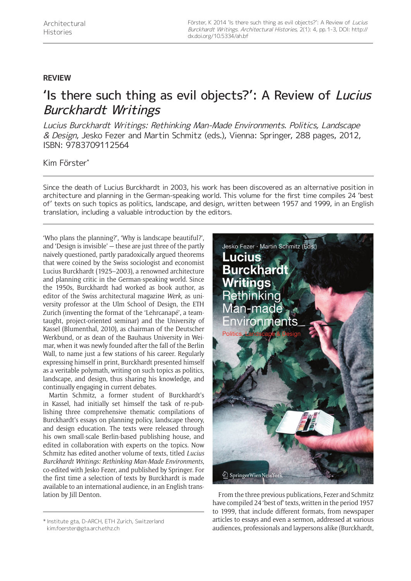## **REVIEW**

## 'Is there such thing as evil objects?': A Review of Lucius Burckhardt Writings

Lucius Burckhardt Writings: Rethinking Man-Made Environments. Politics, Landscape & Design, Jesko Fezer and Martin Schmitz (eds.), Vienna: Springer, 288 pages, 2012, ISBN: 9783709112564

## Kim Förster\*

Since the death of Lucius Burckhardt in 2003, his work has been discovered as an alternative position in architecture and planning in the German-speaking world. This volume for the first time compiles 24 'best of' texts on such topics as politics, landscape, and design, written between 1957 and 1999, in an English translation, including a valuable introduction by the editors.

'Who plans the planning?', 'Why is landscape beautiful?', and 'Design is invisible' — these are just three of the partly naively questioned, partly paradoxically argued theorems that were coined by the Swiss sociologist and economist Lucius Burckhardt (1925–2003), a renowned architecture and planning critic in the German-speaking world. Since the 1950s, Burckhardt had worked as book author, as editor of the Swiss architectural magazine *Werk*, as university professor at the Ulm School of Design, the ETH Zurich (inventing the format of the 'Lehrcanapé', a teamtaught, project-oriented seminar) and the University of Kassel (Blumenthal, 2010), as chairman of the Deutscher Werkbund, or as dean of the Bauhaus University in Weimar, when it was newly founded after the fall of the Berlin Wall, to name just a few stations of his career. Regularly expressing himself in print, Burckhardt presented himself as a veritable polymath, writing on such topics as politics, landscape, and design, thus sharing his knowledge, and continually engaging in current debates.

Martin Schmitz, a former student of Burckhardt's in Kassel, had initially set himself the task of re-publishing three comprehensive thematic compilations of Burckhardt's essays on planning policy, landscape theory, and design education. The texts were released through his own small-scale Berlin-based publishing house, and edited in collaboration with experts on the topics. Now Schmitz has edited another volume of texts, titled *Lucius Burckhardt Writings: Rethinking Man-Made Environments*, co-edited with Jesko Fezer, and published by Springer. For the first time a selection of texts by Burckhardt is made available to an international audience, in an English translation by Jill Denton. The three previous publications, Fezer and Schmitz



have compiled 24 'best of' texts, written in the period 1957 to 1999, that include different formats, from newspaper articles to essays and even a sermon, addressed at various articles to essays and even a sermon, addressed at various \* المعرفة articles to essays and even a sermon, addressed at various<br>Rim.foerster@gta.arch.ethz.ch محالة audiences, professionals and laypersons alike (Burckhardt,

[kim.foerster@gta.arch.ethz.ch](mailto:kim.foerster@gta.arch.ethz.ch)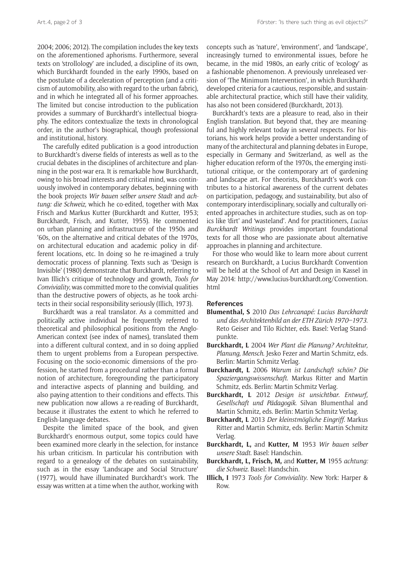2004; 2006; 2012). The compilation includes the key texts on the aforementioned aphorisms. Furthermore, several texts on 'strollology' are included, a discipline of its own, which Burckhardt founded in the early 1990s, based on the postulate of a deceleration of perception (and a criticism of automobility, also with regard to the urban fabric), and in which he integrated all of his former approaches. The limited but concise introduction to the publication provides a summary of Burckhardt's intellectual biography. The editors contextualize the texts in chronological order, in the author's biographical, though professional and institutional, history.

The carefully edited publication is a good introduction to Burckhardt's diverse fields of interests as well as to the crucial debates in the disciplines of architecture and planning in the post-war era. It is remarkable how Burckhardt, owing to his broad interests and critical mind, was continuously involved in contemporary debates, beginning with the book projects *Wir bauen selber unsere Stadt* and *achtung: die Schweiz,* which he co-edited, together with Max Frisch and Markus Kutter (Burckhardt and Kutter, 1953; Burckhardt, Frisch, and Kutter, 1955). He commented on urban planning and infrastructure of the 1950s and '60s, on the alternative and critical debates of the 1970s, on architectural education and academic policy in different locations, etc. In doing so he re-imagined a truly democratic process of planning. Texts such as 'Design is Invisible' (1980) demonstrate that Burckhardt, referring to Ivan Illich's critique of technology and growth, *Tools for Conviviality*, was committed more to the convivial qualities than the destructive powers of objects, as he took architects in their social responsibility seriously (Illich, 1973).

Burckhardt was a real translator. As a committed and politically active individual he frequently referred to theoretical and philosophical positions from the Anglo-American context (see index of names), translated them into a different cultural context, and in so doing applied them to urgent problems from a European perspective. Focusing on the socio-economic dimensions of the profession, he started from a procedural rather than a formal notion of architecture, foregrounding the participatory and interactive aspects of planning and building, and also paying attention to their conditions and effects. This new publication now allows a re-reading of Burckhardt, because it illustrates the extent to which he referred to English-language debates.

Despite the limited space of the book, and given Burckhardt's enormous output, some topics could have been examined more clearly in the selection, for instance his urban criticism. In particular his contribution with regard to a genealogy of the debates on sustainability, such as in the essay 'Landscape and Social Structure' (1977), would have illuminated Burckhardt's work. The essay was written at a time when the author, working with concepts such as 'nature', 'environment', and 'landscape', increasingly turned to environmental issues, before he became, in the mid 1980s, an early critic of 'ecology' as a fashionable phenomenon. A previously unreleased version of 'The Minimum Intervention', in which Burckhardt developed criteria for a cautious, responsible, and sustainable architectural practice, which still have their validity, has also not been considered (Burckhardt, 2013).

Burckhardt's texts are a pleasure to read, also in their English translation. But beyond that, they are meaningful and highly relevant today in several respects. For historians, his work helps provide a better understanding of many of the architectural and planning debates in Europe, especially in Germany and Switzerland, as well as the higher education reform of the 1970s, the emerging institutional critique, or the contemporary art of gardening and landscape art. For theorists, Burckhardt's work contributes to a historical awareness of the current debates on participation, pedagogy, and sustainability, but also of contemporary interdisciplinary, socially and culturally oriented approaches in architecture studies, such as on topics like 'dirt' and 'wasteland'. And for practitioners, *Lucius Burckhardt Writings* provides important foundational texts for all those who are passionate about alternative approaches in planning and architecture.

For those who would like to learn more about current research on Burckhardt, a Lucius Burckhardt Convention will be held at the School of Art and Design in Kassel in May 2014: [http://www.lucius-burckhardt.org/Convention.](http://www.lucius-burckhardt.org/Convention.html) [html](http://www.lucius-burckhardt.org/Convention.html)

## **References**

- **Blumenthal, S** 2010 *Das Lehrcanapé: Lucius Burckhardt und das Architektenbild an der ETH Zürich 1970–1973*. Reto Geiser and Tilo Richter, eds. Basel: Verlag Standpunkte.
- **Burckhardt, L** 2004 *Wer Plant die Planung? Architektur, Planung, Mensch*. Jesko Fezer and Martin Schmitz, eds. Berlin: Martin Schmitz Verlag.
- **Burckhardt, L** 2006 *Warum ist Landschaft schön? Die Spaziergangswissenschaft*. Markus Ritter and Martin Schmitz, eds. Berlin: Martin Schmitz Verlag.
- **Burckhardt, L** 2012 *Design ist unsichtbar. Entwurf, Gesellschaft und Pädagogik*. Silvan Blumenthal and Martin Schmitz, eds. Berlin: Martin Schmitz Verlag.
- **Burckhardt, L** 2013 *Der kleinstmögliche Eingriff*. Markus Ritter and Martin Schmitz, eds. Berlin: Martin Schmitz Verlag.
- **Burckhardt, L,** and **Kutter, M** 1953 *Wir bauen selber unsere Stadt*. Basel: Handschin.
- **Burckhardt, L, Frisch, M,** and **Kutter, M** 1955 *achtung: die Schweiz*. Basel: Handschin.
- **Illich, I** 1973 *Tools for Conviviality*. New York: Harper & Row.